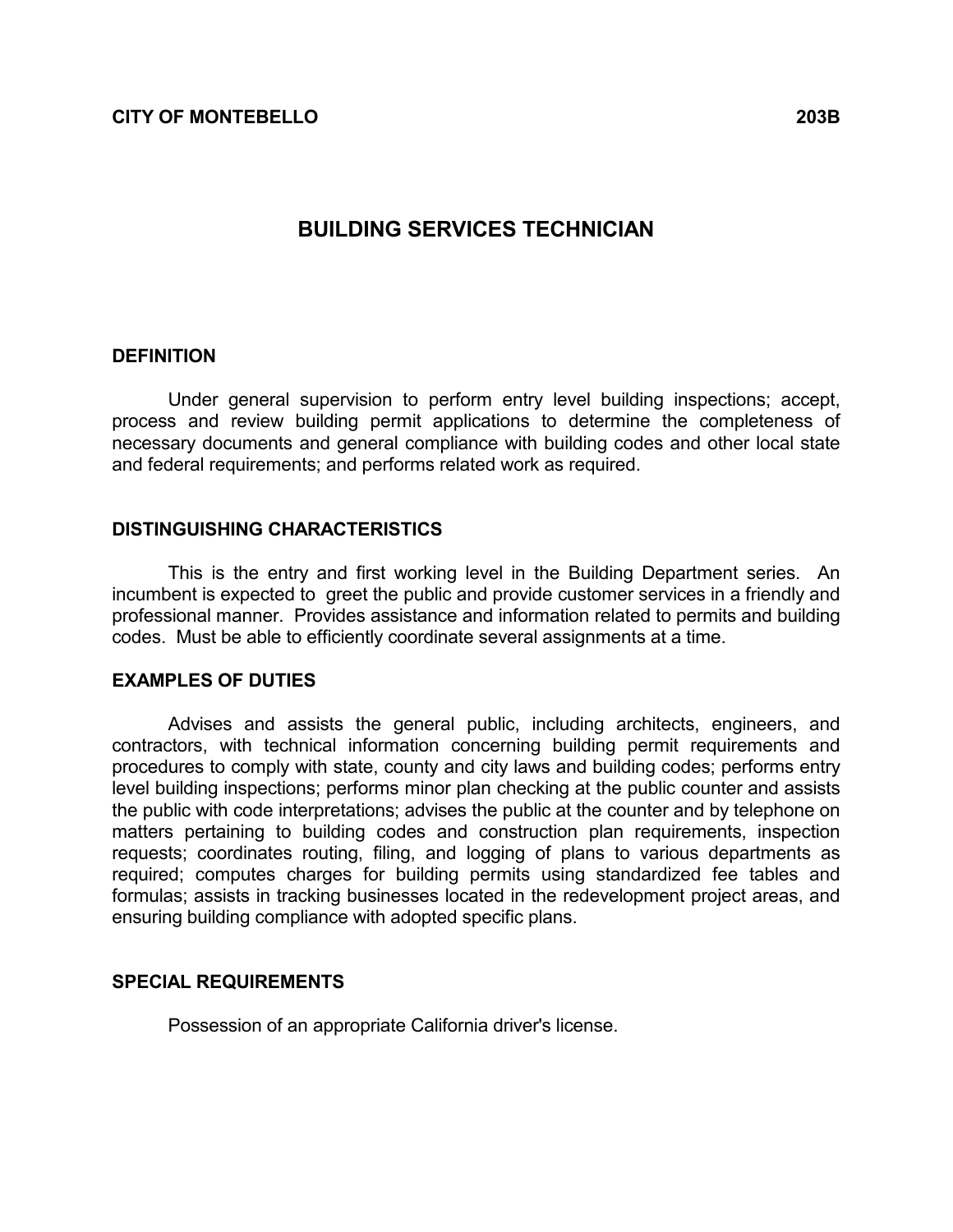# BUILDING SERVICES TECHNICIAN

#### **DEFINITION**

 Under general supervision to perform entry level building inspections; accept, process and review building permit applications to determine the completeness of necessary documents and general compliance with building codes and other local state and federal requirements; and performs related work as required.

### DISTINGUISHING CHARACTERISTICS

 This is the entry and first working level in the Building Department series. An incumbent is expected to greet the public and provide customer services in a friendly and professional manner. Provides assistance and information related to permits and building codes. Must be able to efficiently coordinate several assignments at a time.

#### EXAMPLES OF DUTIES

 Advises and assists the general public, including architects, engineers, and contractors, with technical information concerning building permit requirements and procedures to comply with state, county and city laws and building codes; performs entry level building inspections; performs minor plan checking at the public counter and assists the public with code interpretations; advises the public at the counter and by telephone on matters pertaining to building codes and construction plan requirements, inspection requests; coordinates routing, filing, and logging of plans to various departments as required; computes charges for building permits using standardized fee tables and formulas; assists in tracking businesses located in the redevelopment project areas, and ensuring building compliance with adopted specific plans.

#### SPECIAL REQUIREMENTS

Possession of an appropriate California driver's license.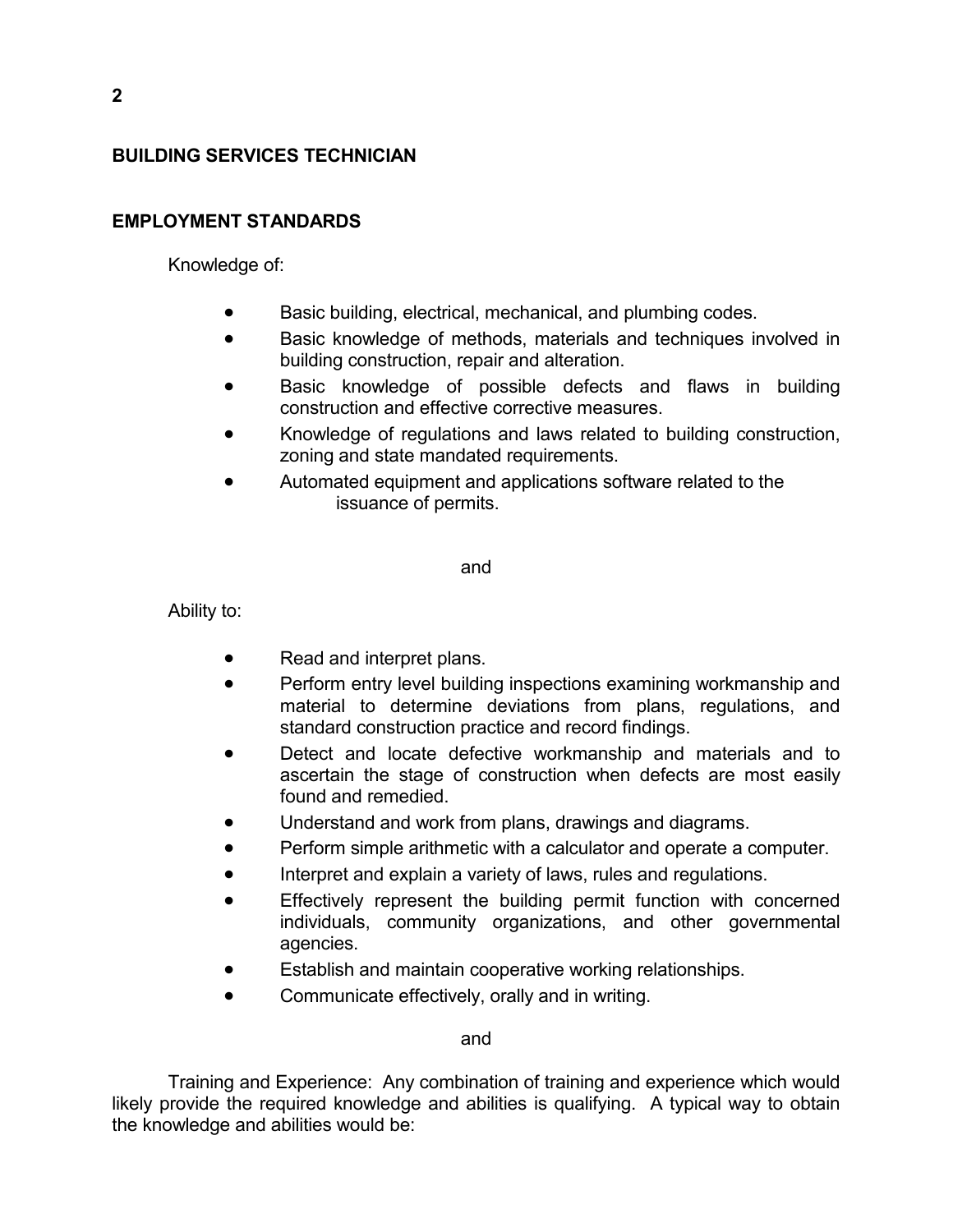## BUILDING SERVICES TECHNICIAN

## EMPLOYMENT STANDARDS

Knowledge of:

- Basic building, electrical, mechanical, and plumbing codes.
- Basic knowledge of methods, materials and techniques involved in building construction, repair and alteration.
- Basic knowledge of possible defects and flaws in building construction and effective corrective measures.
- Knowledge of regulations and laws related to building construction, zoning and state mandated requirements.
- Automated equipment and applications software related to the issuance of permits.

and

Ability to:

- Read and interpret plans.
- Perform entry level building inspections examining workmanship and material to determine deviations from plans, regulations, and standard construction practice and record findings.
- Detect and locate defective workmanship and materials and to ascertain the stage of construction when defects are most easily found and remedied.
- Understand and work from plans, drawings and diagrams.
- Perform simple arithmetic with a calculator and operate a computer.
- Interpret and explain a variety of laws, rules and regulations.
- Effectively represent the building permit function with concerned individuals, community organizations, and other governmental agencies.
- Establish and maintain cooperative working relationships.
- Communicate effectively, orally and in writing.

and

 Training and Experience: Any combination of training and experience which would likely provide the required knowledge and abilities is qualifying. A typical way to obtain the knowledge and abilities would be: